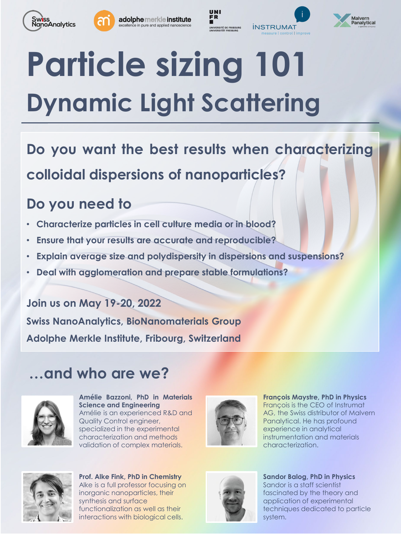



adolphe merkle institute e in pure and applied nanoscience







# **Particle sizing 101 Dynamic Light Scattering**

**Do you want the best results when characterizing colloidal dispersions of nanoparticles?**

### **Do you need to**

- **Characterize particles in cell culture media or in blood?**
- **Ensure that your results are accurate and reproducible?**
- **Explain average size and polydispersity in dispersions and suspensions?**
- **Deal with agglomeration and prepare stable formulations?**

**Join us on May 19-20, 2022 Swiss NanoAnalytics, BioNanomaterials Group Adolphe Merkle Institute, Fribourg, Switzerland**

## **…and who are we?**



**Amélie Bazzoni, PhD in Materials Science and Engineering** Amélie is an experienced R&D and Quality Control engineer, specialized in the experimental characterization and methods validation of complex materials.



**François Maystre, PhD in Physics** François is the CEO of Instrumat AG, the Swiss distributor of Malvern Panalytical. He has profound experience in analytical instrumentation and materials characterization.



**Prof. Alke Fink, PhD in Chemistry** Alke is a full professor focusing on inorganic nanoparticles, their synthesis and surface functionalization as well as their interactions with biological cells.



**Sandor Balog, PhD in Physics** Sandor is a staff scientist fascinated by the theory and application of experimental techniques dedicated to particle system.